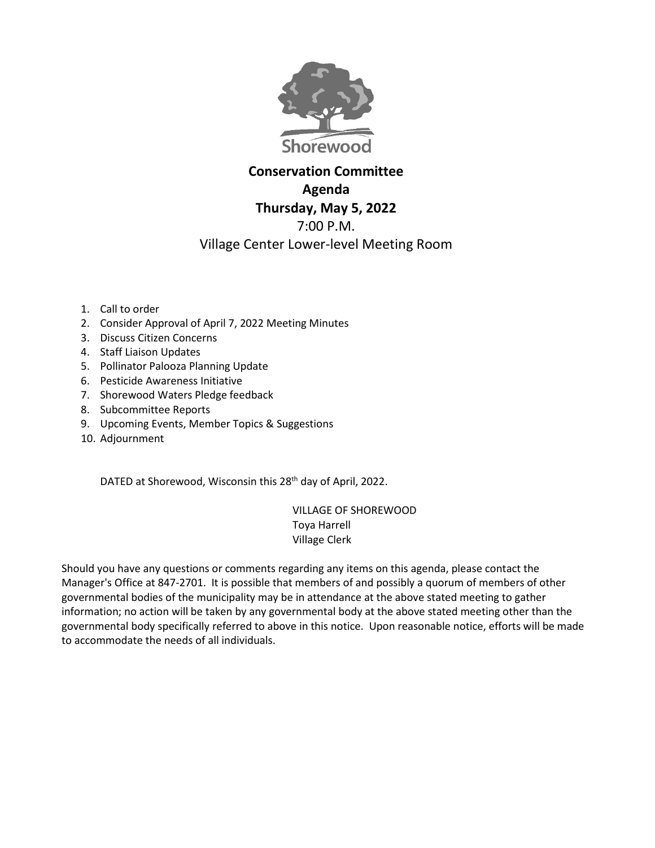

## **Conservation Committee Agenda Thursday, May 5, 2022** 7:00 P.M. Village Center Lower-level Meeting Room

- 1. Call to order
- 2. Consider Approval of April 7, 2022 Meeting Minutes
- 3. Discuss Citizen Concerns
- 4. Staff Liaison Updates
- 5. Pollinator Palooza Planning Update
- 6. Pesticide Awareness Initiative
- 7. Shorewood Waters Pledge feedback
- 8. Subcommittee Reports
- 9. Upcoming Events, Member Topics & Suggestions
- 10. Adjournment

DATED at Shorewood, Wisconsin this 28<sup>th</sup> day of April, 2022.

VILLAGE OF SHOREWOOD Toya Harrell Village Clerk

Should you have any questions or comments regarding any items on this agenda, please contact the Manager's Office at 847-2701. It is possible that members of and possibly a quorum of members of other governmental bodies of the municipality may be in attendance at the above stated meeting to gather information; no action will be taken by any governmental body at the above stated meeting other than the governmental body specifically referred to above in this notice. Upon reasonable notice, efforts will be made to accommodate the needs of all individuals.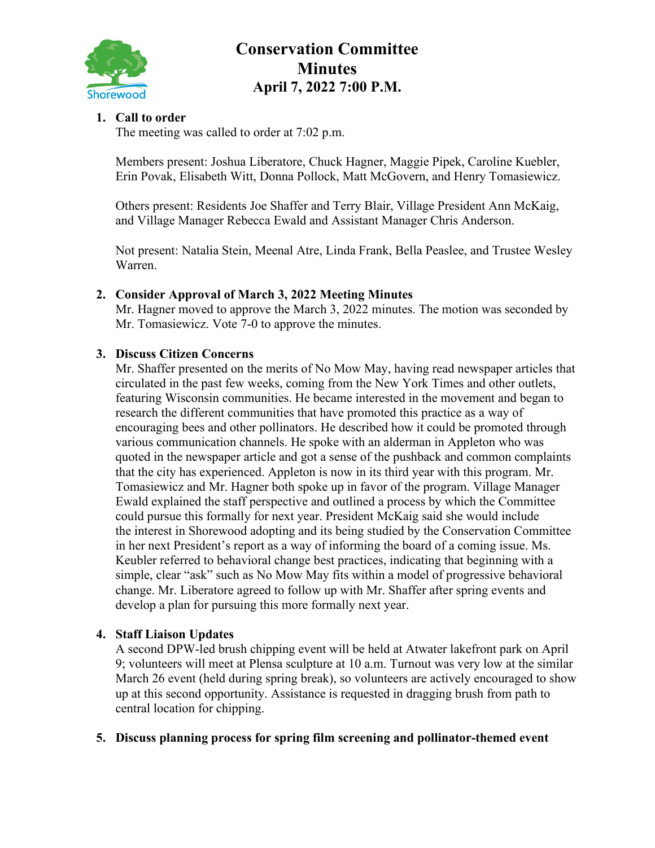

# **Conservation Committee Minutes April 7, 2022 7:00 P.M.**

## **1. Call to order**

The meeting was called to order at 7:02 p.m.

Members present: Joshua Liberatore, Chuck Hagner, Maggie Pipek, Caroline Kuebler, Erin Povak, Elisabeth Witt, Donna Pollock, Matt McGovern, and Henry Tomasiewicz.

Others present: Residents Joe Shaffer and Terry Blair, Village President Ann McKaig, and Village Manager Rebecca Ewald and Assistant Manager Chris Anderson.

Not present: Natalia Stein, Meenal Atre, Linda Frank, Bella Peaslee, and Trustee Wesley Warren.

## **2. Consider Approval of March 3, 2022 Meeting Minutes**

Mr. Hagner moved to approve the March 3, 2022 minutes. The motion was seconded by Mr. Tomasiewicz. Vote 7-0 to approve the minutes.

#### **3. Discuss Citizen Concerns**

Mr. Shaffer presented on the merits of No Mow May, having read newspaper articles that circulated in the past few weeks, coming from the New York Times and other outlets, featuring Wisconsin communities. He became interested in the movement and began to research the different communities that have promoted this practice as a way of encouraging bees and other pollinators. He described how it could be promoted through various communication channels. He spoke with an alderman in Appleton who was quoted in the newspaper article and got a sense of the pushback and common complaints that the city has experienced. Appleton is now in its third year with this program. Mr. Tomasiewicz and Mr. Hagner both spoke up in favor of the program. Village Manager Ewald explained the staff perspective and outlined a process by which the Committee could pursue this formally for next year. President McKaig said she would include the interest in Shorewood adopting and its being studied by the Conservation Committee in her next President's report as a way of informing the board of a coming issue. Ms. Keubler referred to behavioral change best practices, indicating that beginning with a simple, clear "ask" such as No Mow May fits within a model of progressive behavioral change. Mr. Liberatore agreed to follow up with Mr. Shaffer after spring events and develop a plan for pursuing this more formally next year.

## **4. Staff Liaison Updates**

A second DPW-led brush chipping event will be held at Atwater lakefront park on April 9; volunteers will meet at Plensa sculpture at 10 a.m. Turnout was very low at the similar March 26 event (held during spring break), so volunteers are actively encouraged to show up at this second opportunity. Assistance is requested in dragging brush from path to central location for chipping.

## **5. Discuss planning process for spring film screening and pollinator-themed event**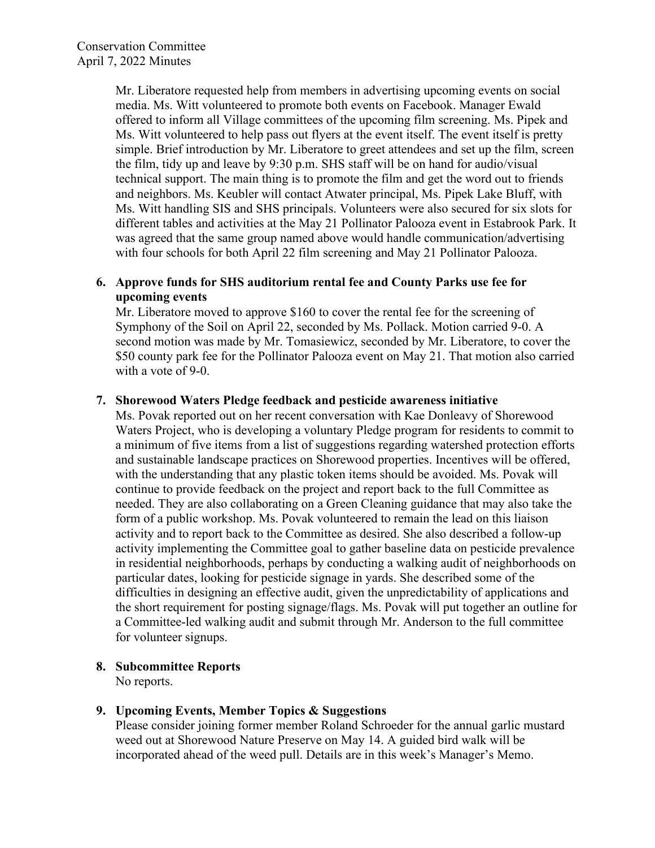Mr. Liberatore requested help from members in advertising upcoming events on social media. Ms. Witt volunteered to promote both events on Facebook. Manager Ewald offered to inform all Village committees of the upcoming film screening. Ms. Pipek and Ms. Witt volunteered to help pass out flyers at the event itself. The event itself is pretty simple. Brief introduction by Mr. Liberatore to greet attendees and set up the film, screen the film, tidy up and leave by 9:30 p.m. SHS staff will be on hand for audio/visual technical support. The main thing is to promote the film and get the word out to friends and neighbors. Ms. Keubler will contact Atwater principal, Ms. Pipek Lake Bluff, with Ms. Witt handling SIS and SHS principals. Volunteers were also secured for six slots for different tables and activities at the May 21 Pollinator Palooza event in Estabrook Park. It was agreed that the same group named above would handle communication/advertising with four schools for both April 22 film screening and May 21 Pollinator Palooza.

#### **6. Approve funds for SHS auditorium rental fee and County Parks use fee for upcoming events**

Mr. Liberatore moved to approve \$160 to cover the rental fee for the screening of Symphony of the Soil on April 22, seconded by Ms. Pollack. Motion carried 9-0. A second motion was made by Mr. Tomasiewicz, seconded by Mr. Liberatore, to cover the \$50 county park fee for the Pollinator Palooza event on May 21. That motion also carried with a vote of 9-0.

#### **7. Shorewood Waters Pledge feedback and pesticide awareness initiative**

Ms. Povak reported out on her recent conversation with Kae Donleavy of Shorewood Waters Project, who is developing a voluntary Pledge program for residents to commit to a minimum of five items from a list of suggestions regarding watershed protection efforts and sustainable landscape practices on Shorewood properties. Incentives will be offered, with the understanding that any plastic token items should be avoided. Ms. Povak will continue to provide feedback on the project and report back to the full Committee as needed. They are also collaborating on a Green Cleaning guidance that may also take the form of a public workshop. Ms. Povak volunteered to remain the lead on this liaison activity and to report back to the Committee as desired. She also described a follow-up activity implementing the Committee goal to gather baseline data on pesticide prevalence in residential neighborhoods, perhaps by conducting a walking audit of neighborhoods on particular dates, looking for pesticide signage in yards. She described some of the difficulties in designing an effective audit, given the unpredictability of applications and the short requirement for posting signage/flags. Ms. Povak will put together an outline for a Committee-led walking audit and submit through Mr. Anderson to the full committee for volunteer signups.

#### **8. Subcommittee Reports**

No reports.

## **9. Upcoming Events, Member Topics & Suggestions**

Please consider joining former member Roland Schroeder for the annual garlic mustard weed out at Shorewood Nature Preserve on May 14. A guided bird walk will be incorporated ahead of the weed pull. Details are in this week's Manager's Memo.